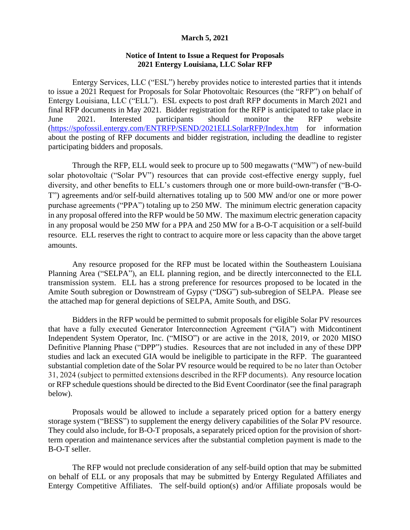## **March 5, 2021**

## **Notice of Intent to Issue a Request for Proposals 2021 Entergy Louisiana, LLC Solar RFP**

Entergy Services, LLC ("ESL") hereby provides notice to interested parties that it intends to issue a 2021 Request for Proposals for Solar Photovoltaic Resources (the "RFP") on behalf of Entergy Louisiana, LLC ("ELL"). ESL expects to post draft RFP documents in March 2021 and final RFP documents in May 2021. Bidder registration for the RFP is anticipated to take place in June 2021. Interested participants should monitor the RFP website [\(https://spofossil.entergy.com/ENTRFP/SEND/2021ELLSolarRFP/Index.htm](https://gcc02.safelinks.protection.outlook.com/?url=https%3A%2F%2Fspofossil.entergy.com%2FENTRFP%2FSEND%2F2021ELLSolarRFP%2FIndex.htm&data=04%7C01%7Cebentz%40entergy.com%7C2aac1d8b550d42dd40e908d8d9697a33%7Ce0c134696a2d4ac3835b8ec9ed03c9a7%7C0%7C0%7C637498394339477566%7CUnknown%7CTWFpbGZsb3d8eyJWIjoiMC4wLjAwMDAiLCJQIjoiV2luMzIiLCJBTiI6Ik1haWwiLCJXVCI6Mn0%3D%7C1000&sdata=06x3ayccJg1Q8UdLlnwKNLjgOeb52wQVhRVTRtcrMYw%3D&reserved=0) for information about the posting of RFP documents and bidder registration, including the deadline to register participating bidders and proposals.

Through the RFP, ELL would seek to procure up to 500 megawatts ("MW") of new-build solar photovoltaic ("Solar PV") resources that can provide cost-effective energy supply, fuel diversity, and other benefits to ELL's customers through one or more build-own-transfer ("B-O-T") agreements and/or self-build alternatives totaling up to 500 MW and/or one or more power purchase agreements ("PPA") totaling up to 250 MW. The minimum electric generation capacity in any proposal offered into the RFP would be 50 MW. The maximum electric generation capacity in any proposal would be 250 MW for a PPA and 250 MW for a B-O-T acquisition or a self-build resource. ELL reserves the right to contract to acquire more or less capacity than the above target amounts.

Any resource proposed for the RFP must be located within the Southeastern Louisiana Planning Area ("SELPA"), an ELL planning region, and be directly interconnected to the ELL transmission system. ELL has a strong preference for resources proposed to be located in the Amite South subregion or Downstream of Gypsy ("DSG") sub-subregion of SELPA. Please see the attached map for general depictions of SELPA, Amite South, and DSG.

Bidders in the RFP would be permitted to submit proposals for eligible Solar PV resources that have a fully executed Generator Interconnection Agreement ("GIA") with Midcontinent Independent System Operator, Inc. ("MISO") or are active in the 2018, 2019, or 2020 MISO Definitive Planning Phase ("DPP") studies. Resources that are not included in any of these DPP studies and lack an executed GIA would be ineligible to participate in the RFP. The guaranteed substantial completion date of the Solar PV resource would be required to be no later than October 31, 2024 (subject to permitted extensions described in the RFP documents). Any resource location or RFP schedule questions should be directed to the Bid Event Coordinator (see the final paragraph below).

Proposals would be allowed to include a separately priced option for a battery energy storage system ("BESS") to supplement the energy delivery capabilities of the Solar PV resource. They could also include, for B-O-T proposals, a separately priced option for the provision of shortterm operation and maintenance services after the substantial completion payment is made to the B-O-T seller.

The RFP would not preclude consideration of any self-build option that may be submitted on behalf of ELL or any proposals that may be submitted by Entergy Regulated Affiliates and Entergy Competitive Affiliates. The self-build option(s) and/or Affiliate proposals would be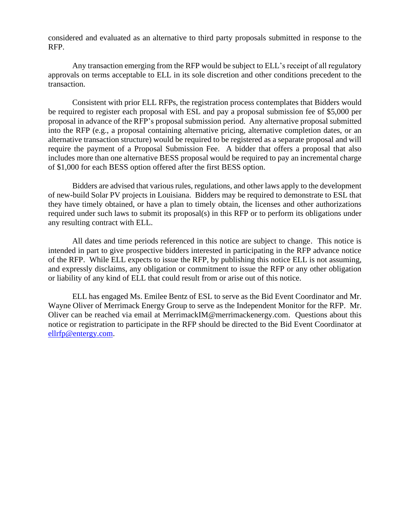considered and evaluated as an alternative to third party proposals submitted in response to the RFP.

Any transaction emerging from the RFP would be subject to ELL's receipt of all regulatory approvals on terms acceptable to ELL in its sole discretion and other conditions precedent to the transaction.

Consistent with prior ELL RFPs, the registration process contemplates that Bidders would be required to register each proposal with ESL and pay a proposal submission fee of \$5,000 per proposal in advance of the RFP's proposal submission period. Any alternative proposal submitted into the RFP (e.g., a proposal containing alternative pricing, alternative completion dates, or an alternative transaction structure) would be required to be registered as a separate proposal and will require the payment of a Proposal Submission Fee. A bidder that offers a proposal that also includes more than one alternative BESS proposal would be required to pay an incremental charge of \$1,000 for each BESS option offered after the first BESS option.

Bidders are advised that various rules, regulations, and other laws apply to the development of new-build Solar PV projects in Louisiana. Bidders may be required to demonstrate to ESL that they have timely obtained, or have a plan to timely obtain, the licenses and other authorizations required under such laws to submit its proposal(s) in this RFP or to perform its obligations under any resulting contract with ELL.

All dates and time periods referenced in this notice are subject to change. This notice is intended in part to give prospective bidders interested in participating in the RFP advance notice of the RFP. While ELL expects to issue the RFP, by publishing this notice ELL is not assuming, and expressly disclaims, any obligation or commitment to issue the RFP or any other obligation or liability of any kind of ELL that could result from or arise out of this notice.

ELL has engaged Ms. Emilee Bentz of ESL to serve as the Bid Event Coordinator and Mr. Wayne Oliver of Merrimack Energy Group to serve as the Independent Monitor for the RFP. Mr. Oliver can be reached via email at MerrimackIM@merrimackenergy.com. Questions about this notice or registration to participate in the RFP should be directed to the Bid Event Coordinator at [ellrfp@entergy.com.](mailto:ellrfp@entergy.com)